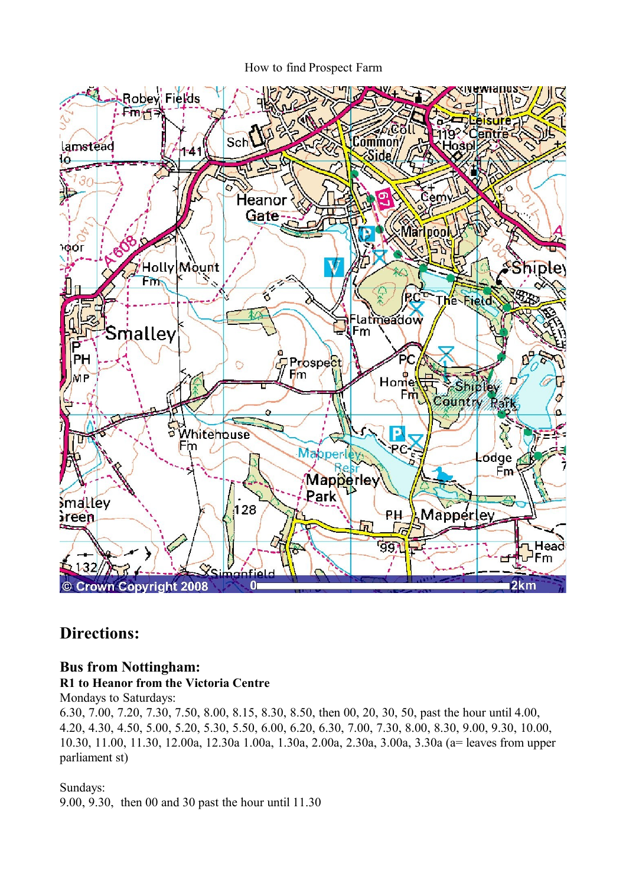How to find Prospect Farm



# **Directions:**

## **Bus from Nottingham:**

### **R1 to Heanor from the Victoria Centre**

Mondays to Saturdays:

6.30, 7.00, 7.20, 7.30, 7.50, 8.00, 8.15, 8.30, 8.50, then 00, 20, 30, 50, past the hour until 4.00, 4.20, 4.30, 4.50, 5.00, 5.20, 5.30, 5.50, 6.00, 6.20, 6.30, 7.00, 7.30, 8.00, 8.30, 9.00, 9.30, 10.00, 10.30, 11.00, 11.30, 12.00a, 12.30a 1.00a, 1.30a, 2.00a, 2.30a, 3.00a, 3.30a (a= leaves from upper parliament st)

### Sundays:

9.00, 9.30, then 00 and 30 past the hour until 11.30